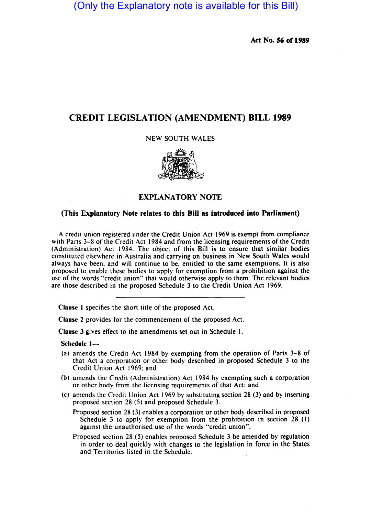(Only the Explanatory note is available for this Bill)

Act No. *S6* of 1989

## CREDIT LEGISLATION (AMENDMENT) BILL 1989

## NEW SOUTH WALES



## EXPLANATORY NOTE

## (This Explanatory Note relates to this Bill as introduced into Parliament)

A credit union registered under the Credit Union Act 1969 is exempt from compliance with Parts 3-8 of the Credit Act 1984 and from the licensing requirements of the Credit (Administration) Act 1984. The object of this Bill is to ensure that similar bodies constituted elsewhere in Australia and carrying on business in New South Wales would always have been, and will continue to be, entitled to the same exemptions. It is also proposed to enable these bodies to apply for exemption from a prohibition against the use of the words "credit union" that would otherwise apply to them. The relevant bodies are those described in the proposed Schedule 3 to the Credit Union Act 1969.

Clause I specifies the short title of the proposed Act.

Clause 2 provides for the commencement of the proposed Act.

Clause 3 gives effect to the amendments set out in Schedule I.

Schedule 1-

- (a) amends the Credit Act 1984 by exempting from the operation of Parts 3-8 of that Act a corporation or other body described in proposed Schedule 3 to the Credit Union Act 1969; and
- (b) amends the Credit (Administration) Act 1984 by exempting such a corporation or other body from the licensing requirements of that Act; and
- (c) amends the Credit Union Act 1969 by substituting section 28 (3) and by inserting proposed section 28 (5) and proposed Schedule 3.
	- Proposed section 28 (3) enables a corporation or other body described in proposed Schedule 3 to apply for exemption from the prohibition in section 28 (I) against the unauthorised use of the words "credit union".
	- Proposed section 28 (5) enables proposed Schedule 3 be amended by regulation in order to deal quickly with changes to the legislation in force in the States and Territories listed in the Schedule.